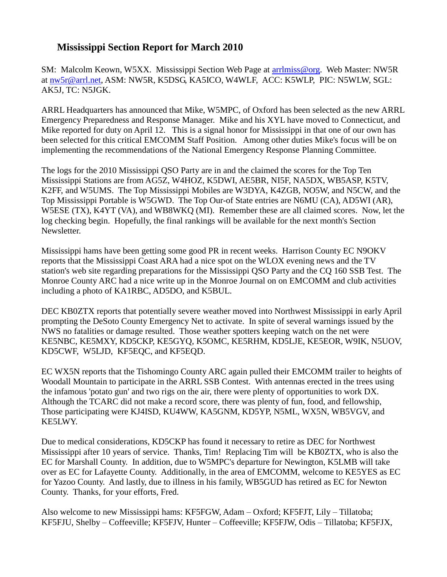## **Mississippi Section Report for March 2010**

SM: Malcolm Keown, W5XX. Mississippi Section Web Page at [arrlmiss@org.](mailto:arrlmiss@org) Web Master: NW5R at [nw5r@arrl.net,](mailto:nw5r@arrl.net) ASM: NW5R, K5DSG, KA5ICO, W4WLF, ACC: K5WLP, PIC: N5WLW, SGL: AK5J, TC: N5JGK.

ARRL Headquarters has announced that Mike, W5MPC, of Oxford has been selected as the new ARRL Emergency Preparedness and Response Manager. Mike and his XYL have moved to Connecticut, and Mike reported for duty on April 12. This is a signal honor for Mississippi in that one of our own has been selected for this critical EMCOMM Staff Position. Among other duties Mike's focus will be on implementing the recommendations of the National Emergency Response Planning Committee.

The logs for the 2010 Mississippi QSO Party are in and the claimed the scores for the Top Ten Mississippi Stations are from AG5Z, W4HOZ, K5DWI, AE5BR, NI5F, NA5DX, WB5ASP, K5TV, K2FF, and W5UMS. The Top Mississippi Mobiles are W3DYA, K4ZGB, NO5W, and N5CW, and the Top Mississippi Portable is W5GWD. The Top Our-of State entries are N6MU (CA), AD5WI (AR), W5ESE (TX), K4YT (VA), and WB8WKQ (MI). Remember these are all claimed scores. Now, let the log checking begin. Hopefully, the final rankings will be available for the next month's Section Newsletter.

Mississippi hams have been getting some good PR in recent weeks. Harrison County EC N9OKV reports that the Mississippi Coast ARA had a nice spot on the WLOX evening news and the TV station's web site regarding preparations for the Mississippi QSO Party and the CQ 160 SSB Test. The Monroe County ARC had a nice write up in the Monroe Journal on on EMCOMM and club activities including a photo of KA1RBC, AD5DO, and K5BUL.

DEC KB0ZTX reports that potentially severe weather moved into Northwest Mississippi in early April prompting the DeSoto County Emergency Net to activate. In spite of several warnings issued by the NWS no fatalities or damage resulted. Those weather spotters keeping watch on the net were KE5NBC, KE5MXY, KD5CKP, KE5GYQ, K5OMC, KE5RHM, KD5LJE, KE5EOR, W9IK, N5UOV, KD5CWF, W5LJD, KF5EQC, and KF5EQD.

EC WX5N reports that the Tishomingo County ARC again pulled their EMCOMM trailer to heights of Woodall Mountain to participate in the ARRL SSB Contest. With antennas erected in the trees using the infamous 'potato gun' and two rigs on the air, there were plenty of opportunities to work DX. Although the TCARC did not make a record score, there was plenty of fun, food, and fellowship, Those participating were KJ4ISD, KU4WW, KA5GNM, KD5YP, N5ML, WX5N, WB5VGV, and KE5LWY.

Due to medical considerations, KD5CKP has found it necessary to retire as DEC for Northwest Mississippi after 10 years of service. Thanks, Tim! Replacing Tim will be KB0ZTX, who is also the EC for Marshall County. In addition, due to W5MPC's departure for Newington, K5LMB will take over as EC for Lafayette County. Additionally, in the area of EMCOMM, welcome to KE5YES as EC for Yazoo County. And lastly, due to illness in his family, WB5GUD has retired as EC for Newton County. Thanks, for your efforts, Fred.

Also welcome to new Mississippi hams: KF5FGW, Adam – Oxford; KF5FJT, Lily – Tillatoba; KF5FJU, Shelby – Coffeeville; KF5FJV, Hunter – Coffeeville; KF5FJW, Odis – Tillatoba; KF5FJX,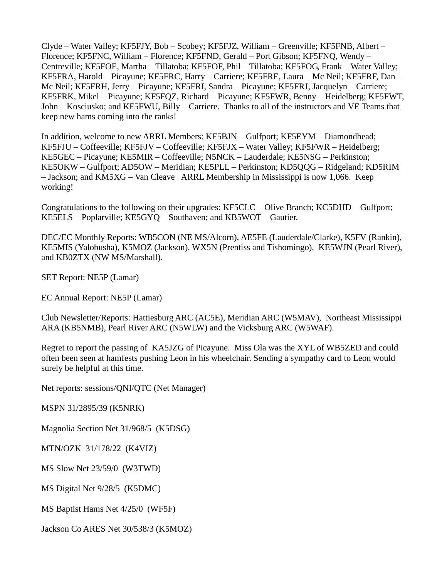Clyde – Water Valley; KF5FJY, Bob – Scobey; KF5FJZ, William – Greenville; KF5FNB, Albert – Florence; KF5FNC, William – Florence; KF5FND, Gerald – Port Gibson; KF5FNQ, Wendy – Centreville; KF5FOE, Martha – Tillatoba; KF5FOF, Phil – Tillatoba; KF5FOG, Frank – Water Valley; KF5FRA, Harold – Picayune; KF5FRC, Harry – Carriere; KF5FRE, Laura – Mc Neil; KF5FRF, Dan – Mc Neil; KF5FRH, Jerry – Picayune; KF5FRI, Sandra – Picayune; KF5FRJ, Jacquelyn – Carriere; KF5FRK, Mikel – Picayune; KF5FQZ, Richard – Picayune; KF5FWR, Benny – Heidelberg; KF5FWT, John – Kosciusko; and KF5FWU, Billy – Carriere. Thanks to all of the instructors and VE Teams that keep new hams coming into the ranks!

In addition, welcome to new ARRL Members: KF5BJN – Gulfport; KF5EYM – Diamondhead; KF5FJU – Coffeeville; KF5FJV – Coffeeville; KF5FJX – Water Valley; KF5FWR – Heidelberg; KE5GEC – Picayune; KE5MIR – Coffeeville; N5NCK – Lauderdale; KE5NSG – Perkinston; KE5OKW – Gulfport; AD5OW – Meridian; KE5PLL – Perkinston; KD5QQG – Ridgeland; KD5RIM – Jackson; and KM5XG – Van Cleave ARRL Membership in Mississippi is now 1,066. Keep working!

Congratulations to the following on their upgrades: KF5CLC – Olive Branch; KC5DHD – Gulfport; KE5ELS – Poplarville; KE5GYQ – Southaven; and KB5WOT – Gautier.

DEC/EC Monthly Reports: WB5CON (NE MS/Alcorn), AE5FE (Lauderdale/Clarke), K5FV (Rankin), KE5MIS (Yalobusha), K5MOZ (Jackson), WX5N (Prentiss and Tishomingo), KE5WJN (Pearl River), and KB0ZTX (NW MS/Marshall).

SET Report: NE5P (Lamar)

EC Annual Report: NE5P (Lamar)

Club Newsletter/Reports: Hattiesburg ARC (AC5E), Meridian ARC (W5MAV), Northeast Mississippi ARA (KB5NMB), Pearl River ARC (N5WLW) and the Vicksburg ARC (W5WAF).

Regret to report the passing of KA5JZG of Picayune. Miss Ola was the XYL of WB5ZED and could often been seen at hamfests pushing Leon in his wheelchair. Sending a sympathy card to Leon would surely be helpful at this time.

Net reports: sessions/QNI/QTC (Net Manager)

MSPN 31/2895/39 (K5NRK)

Magnolia Section Net 31/968/5 (K5DSG)

MTN/OZK 31/178/22 (K4VIZ)

MS Slow Net 23/59/0 (W3TWD)

MS Digital Net 9/28/5 (K5DMC)

MS Baptist Hams Net 4/25/0 (WF5F)

Jackson Co ARES Net 30/538/3 (K5MOZ)